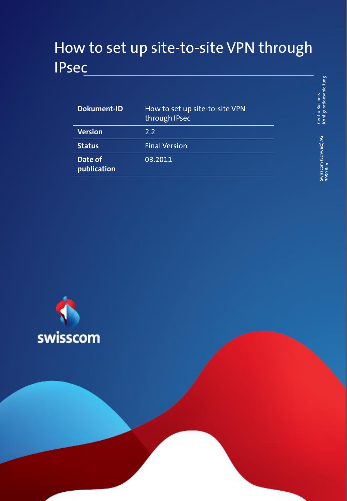# How to set up site-to-site VPN through IPsec

| <b>Dokument-ID</b>     | How to set up site-to-site VPN<br>through IPsec |
|------------------------|-------------------------------------------------|
| <b>Version</b>         | 22                                              |
| <b>Status</b>          | <b>Final Version</b>                            |
| Date of<br>publication | 03.2011                                         |



Swisscom (Schweiz) AG 3050 Bern

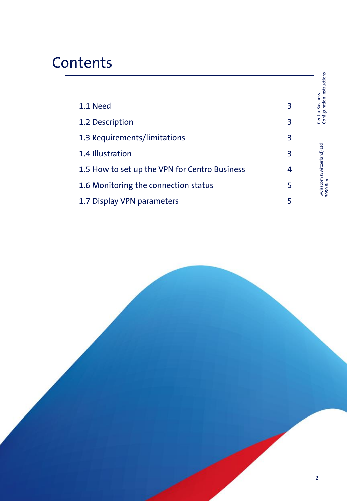# **Contents**

|                                               |   | Centro Business<br>Configuration instructions |
|-----------------------------------------------|---|-----------------------------------------------|
| 1.1 Need                                      | 3 |                                               |
| 1.2 Description                               | 3 |                                               |
| 1.3 Requirements/limitations                  | 3 |                                               |
| 1.4 Illustration                              | 3 |                                               |
| 1.5 How to set up the VPN for Centro Business | 4 | Swisscom (Switzerland) Ltd<br>3050 Bern       |
| 1.6 Monitoring the connection status          | 5 |                                               |
| 1.7 Display VPN parameters                    | 5 |                                               |

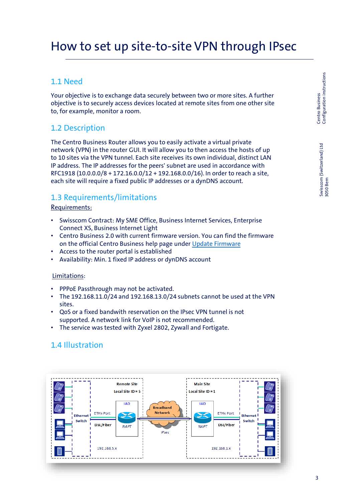# How to set up site-to-site VPN through IPsec

## 1.1 Need

Your objective is to exchange data securely between two or more sites. A further objective is to securely access devices located at remote sites from one other site to, for example, monitor a room.

## 1.2 Description

The Centro Business Router allows you to easily activate a virtual private network (VPN) in the router GUI. It will allow you to then access the hosts of up to 10 sites via the VPN tunnel. Each site receives its own individual, distinct LAN IP address. The IP addresses for the peers' subnet are used in accordance with RFC1918 (10.0.0.0/8 + 172.16.0.0/12 + 192.168.0.0/16). In order to reach a site, each site will require a fixed public IP addresses or a dynDNS account.

### 1.3 Requirements/limitations

#### Requirements:

- Swisscom Contract: My SME Office, Business Internet Services, Enterprise Connect XS, Business Internet Light
- Centro Business 2.0 with current firmware version. You can find the firmware on the official Centro Business help page under [Update Firmware](http://www.swisscom.ch/centrobusiness2-fw)
- Access to the router portal is established
- Availability: Min. 1 fixed IP address or dynDNS account

#### Limitations:

- PPPoE Passthrough may not be activated.
- The 192.168.11.0/24 and 192.168.13.0/24 subnets cannot be used at the VPN sites.
- QoS or a fixed bandwith reservation on the IPsec VPN tunnel is not supported. A network link for VoIP is not recommended.
- The service was tested with Zyxel 2802, Zywall and Fortigate.

# 1.4 Illustration

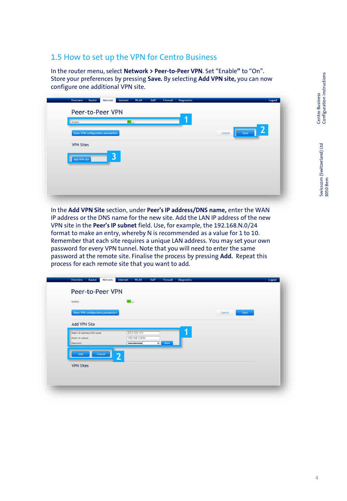# 1.5 How to set up the VPN for Centro Business

In the router menu, select **Network > Peer-to-Peer VPN**. Set "Enable**"** to "On". Store your preferences by pressing **Save***.* By selecting **Add VPN site,** you can now configure one additional VPN site.

| Enable                            | On(1) | я |                |
|-----------------------------------|-------|---|----------------|
| Show VPN configuration parameters |       |   | Save<br>Cancel |
| <b>VPN Sites</b>                  |       |   |                |
| Add VPN site                      | 3     |   |                |
|                                   |       |   |                |
|                                   |       |   |                |

In the **Add VPN Site** section, under **Peer's IP address/DNS name,** enter the WAN IP address or the DNS name for the new site. Add the LAN IP address of the new VPN site in the **Peer's IP subnet** field. Use, for example, the 192.168.N.0/24 format to make an entry, whereby N is recommended as a value for 1 to 10. Remember that each site requires a unique LAN address. You may set your own password for every VPN tunnel. Note that you will need to enter the same password at the remote site. Finalise the process by pressing **Add.** Repeat this process for each remote site that you want to add.

| Show VPN configuration parameters |                       | Save<br>Cancel |
|-----------------------------------|-----------------------|----------------|
| <b>Add VPN Site</b>               |                       |                |
| Peer's IP address/DNS name        | 1<br>85.0.122.173     |                |
| Peer's IP subnet<br>Password      | 192.168.3.0/24        |                |
|                                   | <br>Show<br>$\bullet$ |                |
| Cancel<br>Add                     | $\overline{2}$        |                |
| <b>VPN Sites</b>                  |                       |                |